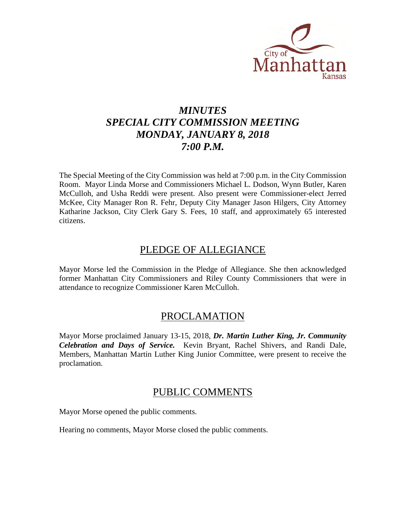

# *MINUTES SPECIAL CITY COMMISSION MEETING MONDAY, JANUARY 8, 2018 7:00 P.M.*

The Special Meeting of the City Commission was held at 7:00 p.m. in the City Commission Room. Mayor Linda Morse and Commissioners Michael L. Dodson, Wynn Butler, Karen McCulloh, and Usha Reddi were present. Also present were Commissioner-elect Jerred McKee, City Manager Ron R. Fehr, Deputy City Manager Jason Hilgers, City Attorney Katharine Jackson, City Clerk Gary S. Fees, 10 staff, and approximately 65 interested citizens.

# PLEDGE OF ALLEGIANCE

Mayor Morse led the Commission in the Pledge of Allegiance. She then acknowledged former Manhattan City Commissioners and Riley County Commissioners that were in attendance to recognize Commissioner Karen McCulloh.

# PROCLAMATION

Mayor Morse proclaimed January 13-15, 2018, *Dr. Martin Luther King, Jr. Community Celebration and Days of Service.* Kevin Bryant, Rachel Shivers, and Randi Dale, Members, Manhattan Martin Luther King Junior Committee, were present to receive the proclamation.

# PUBLIC COMMENTS

Mayor Morse opened the public comments.

Hearing no comments, Mayor Morse closed the public comments.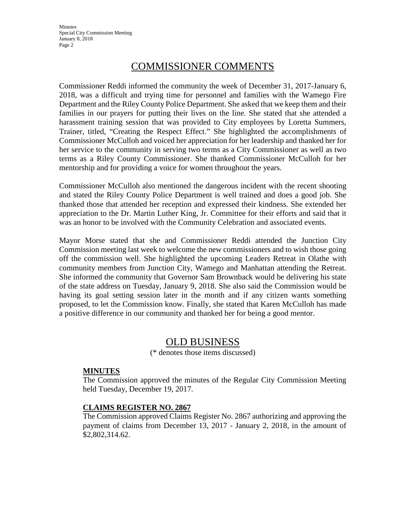**Minutes** Special City Commission Meeting January 8, 2018 Page 2

# COMMISSIONER COMMENTS

Commissioner Reddi informed the community the week of December 31, 2017-January 6, 2018, was a difficult and trying time for personnel and families with the Wamego Fire Department and the Riley County Police Department. She asked that we keep them and their families in our prayers for putting their lives on the line. She stated that she attended a harassment training session that was provided to City employees by Loretta Summers, Trainer, titled, "Creating the Respect Effect." She highlighted the accomplishments of Commissioner McCulloh and voiced her appreciation for her leadership and thanked her for her service to the community in serving two terms as a City Commissioner as well as two terms as a Riley County Commissioner. She thanked Commissioner McCulloh for her mentorship and for providing a voice for women throughout the years.

Commissioner McCulloh also mentioned the dangerous incident with the recent shooting and stated the Riley County Police Department is well trained and does a good job. She thanked those that attended her reception and expressed their kindness. She extended her appreciation to the Dr. Martin Luther King, Jr. Committee for their efforts and said that it was an honor to be involved with the Community Celebration and associated events.

Mayor Morse stated that she and Commissioner Reddi attended the Junction City Commission meeting last week to welcome the new commissioners and to wish those going off the commission well. She highlighted the upcoming Leaders Retreat in Olathe with community members from Junction City, Wamego and Manhattan attending the Retreat. She informed the community that Governor Sam Brownback would be delivering his state of the state address on Tuesday, January 9, 2018. She also said the Commission would be having its goal setting session later in the month and if any citizen wants something proposed, to let the Commission know. Finally, she stated that Karen McCulloh has made a positive difference in our community and thanked her for being a good mentor.

# OLD BUSINESS

(\* denotes those items discussed)

## **MINUTES**

The Commission approved the minutes of the Regular City Commission Meeting held Tuesday, December 19, 2017.

## **CLAIMS REGISTER NO. 2867**

The Commission approved Claims Register No. 2867 authorizing and approving the payment of claims from December 13, 2017 - January 2, 2018, in the amount of \$2,802,314.62.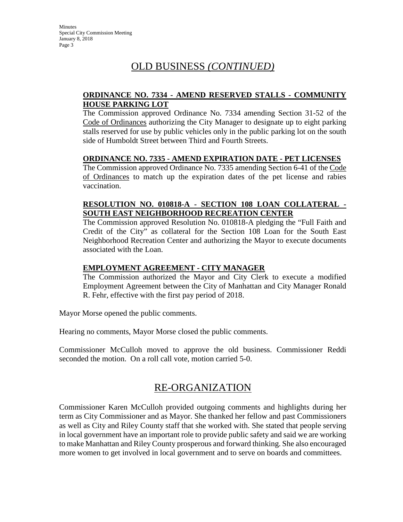**Minutes** Special City Commission Meeting January 8, 2018 Page 3

# OLD BUSINESS *(CONTINUED)*

# **ORDINANCE NO. 7334 - AMEND RESERVED STALLS - COMMUNITY HOUSE PARKING LOT**

The Commission approved Ordinance No. 7334 amending Section 31-52 of the Code of Ordinances authorizing the City Manager to designate up to eight parking stalls reserved for use by public vehicles only in the public parking lot on the south side of Humboldt Street between Third and Fourth Streets.

## **ORDINANCE NO. 7335 - AMEND EXPIRATION DATE - PET LICENSES**

The Commission approved Ordinance No. 7335 amending Section 6-41 of the Code of Ordinances to match up the expiration dates of the pet license and rabies vaccination.

## **RESOLUTION NO. 010818-A - SECTION 108 LOAN COLLATERAL - SOUTH EAST NEIGHBORHOOD RECREATION CENTER**

The Commission approved Resolution No. 010818-A pledging the "Full Faith and Credit of the City" as collateral for the Section 108 Loan for the South East Neighborhood Recreation Center and authorizing the Mayor to execute documents associated with the Loan.

# **EMPLOYMENT AGREEMENT - CITY MANAGER**

The Commission authorized the Mayor and City Clerk to execute a modified Employment Agreement between the City of Manhattan and City Manager Ronald R. Fehr, effective with the first pay period of 2018.

Mayor Morse opened the public comments.

Hearing no comments, Mayor Morse closed the public comments.

Commissioner McCulloh moved to approve the old business. Commissioner Reddi seconded the motion. On a roll call vote, motion carried 5-0.

# RE-ORGANIZATION

Commissioner Karen McCulloh provided outgoing comments and highlights during her term as City Commissioner and as Mayor. She thanked her fellow and past Commissioners as well as City and Riley County staff that she worked with. She stated that people serving in local government have an important role to provide public safety and said we are working to make Manhattan and Riley County prosperous and forward thinking. She also encouraged more women to get involved in local government and to serve on boards and committees.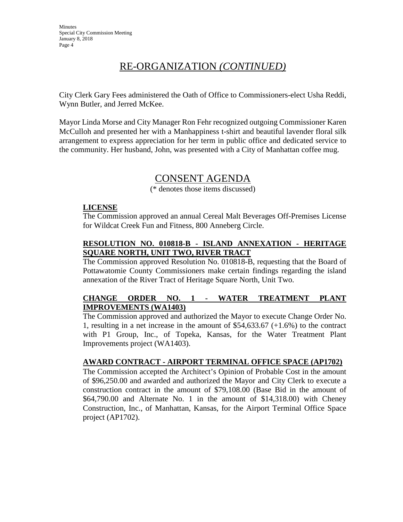# RE-ORGANIZATION *(CONTINUED)*

City Clerk Gary Fees administered the Oath of Office to Commissioners-elect Usha Reddi, Wynn Butler, and Jerred McKee.

Mayor Linda Morse and City Manager Ron Fehr recognized outgoing Commissioner Karen McCulloh and presented her with a Manhappiness t-shirt and beautiful lavender floral silk arrangement to express appreciation for her term in public office and dedicated service to the community. Her husband, John, was presented with a City of Manhattan coffee mug.

# CONSENT AGENDA

(\* denotes those items discussed)

## **LICENSE**

The Commission approved an annual Cereal Malt Beverages Off-Premises License for Wildcat Creek Fun and Fitness, 800 Anneberg Circle.

# **RESOLUTION NO. 010818-B - ISLAND ANNEXATION - HERITAGE SQUARE NORTH, UNIT TWO, RIVER TRACT**

The Commission approved Resolution No. 010818-B, requesting that the Board of Pottawatomie County Commissioners make certain findings regarding the island annexation of the River Tract of Heritage Square North, Unit Two.

# **CHANGE ORDER NO. 1 - WATER TREATMENT PLANT IMPROVEMENTS (WA1403)**

The Commission approved and authorized the Mayor to execute Change Order No. 1, resulting in a net increase in the amount of \$54,633.67 (+1.6%) to the contract with P1 Group, Inc., of Topeka, Kansas, for the Water Treatment Plant Improvements project (WA1403).

# **AWARD CONTRACT - AIRPORT TERMINAL OFFICE SPACE (AP1702)**

The Commission accepted the Architect's Opinion of Probable Cost in the amount of \$96,250.00 and awarded and authorized the Mayor and City Clerk to execute a construction contract in the amount of \$79,108.00 (Base Bid in the amount of \$64,790.00 and Alternate No. 1 in the amount of \$14,318.00) with Cheney Construction, Inc., of Manhattan, Kansas, for the Airport Terminal Office Space project (AP1702).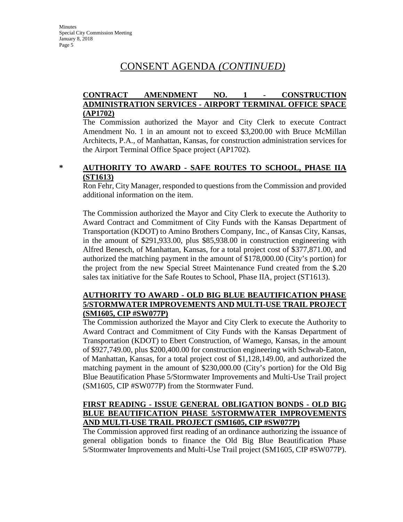# CONSENT AGENDA *(CONTINUED)*

# **CONTRACT AMENDMENT NO. 1 - CONSTRUCTION ADMINISTRATION SERVICES - AIRPORT TERMINAL OFFICE SPACE (AP1702)**

The Commission authorized the Mayor and City Clerk to execute Contract Amendment No. 1 in an amount not to exceed \$3,200.00 with Bruce McMillan Architects, P.A., of Manhattan, Kansas, for construction administration services for the Airport Terminal Office Space project (AP1702).

# **\* AUTHORITY TO AWARD - SAFE ROUTES TO SCHOOL, PHASE IIA (ST1613)**

Ron Fehr, City Manager, responded to questions from the Commission and provided additional information on the item.

The Commission authorized the Mayor and City Clerk to execute the Authority to Award Contract and Commitment of City Funds with the Kansas Department of Transportation (KDOT) to Amino Brothers Company, Inc., of Kansas City, Kansas, in the amount of \$291,933.00, plus \$85,938.00 in construction engineering with Alfred Benesch, of Manhattan, Kansas, for a total project cost of \$377,871.00, and authorized the matching payment in the amount of \$178,000.00 (City's portion) for the project from the new Special Street Maintenance Fund created from the \$.20 sales tax initiative for the Safe Routes to School, Phase IIA, project (ST1613).

## **AUTHORITY TO AWARD - OLD BIG BLUE BEAUTIFICATION PHASE 5/STORMWATER IMPROVEMENTS AND MULTI-USE TRAIL PROJECT (SM1605, CIP #SW077P)**

The Commission authorized the Mayor and City Clerk to execute the Authority to Award Contract and Commitment of City Funds with the Kansas Department of Transportation (KDOT) to Ebert Construction, of Wamego, Kansas, in the amount of \$927,749.00, plus \$200,400.00 for construction engineering with Schwab-Eaton, of Manhattan, Kansas, for a total project cost of \$1,128,149.00, and authorized the matching payment in the amount of \$230,000.00 (City's portion) for the Old Big Blue Beautification Phase 5/Stormwater Improvements and Multi-Use Trail project (SM1605, CIP #SW077P) from the Stormwater Fund.

# **FIRST READING - ISSUE GENERAL OBLIGATION BONDS - OLD BIG BLUE BEAUTIFICATION PHASE 5/STORMWATER IMPROVEMENTS AND MULTI-USE TRAIL PROJECT (SM1605, CIP #SW077P)**

The Commission approved first reading of an ordinance authorizing the issuance of general obligation bonds to finance the Old Big Blue Beautification Phase 5/Stormwater Improvements and Multi-Use Trail project (SM1605, CIP #SW077P).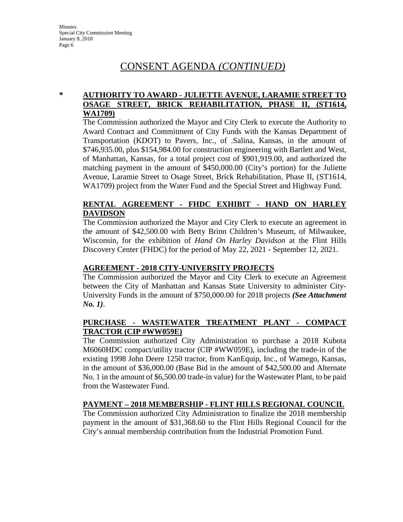# CONSENT AGENDA *(CONTINUED)*

## **\* AUTHORITY TO AWARD - JULIETTE AVENUE, LARAMIE STREET TO OSAGE STREET, BRICK REHABILITATION, PHASE II, (ST1614, WA1709)**

The Commission authorized the Mayor and City Clerk to execute the Authority to Award Contract and Commitment of City Funds with the Kansas Department of Transportation (KDOT) to Pavers, Inc., of .Salina, Kansas, in the amount of \$746,935.00, plus \$154,984.00 for construction engineering with Bartlett and West, of Manhattan, Kansas, for a total project cost of \$901,919.00, and authorized the matching payment in the amount of \$450,000.00 (City's portion) for the Juliette Avenue, Laramie Street to Osage Street, Brick Rehabilitation, Phase II, (ST1614, WA1709) project from the Water Fund and the Special Street and Highway Fund.

## **RENTAL AGREEMENT - FHDC EXHIBIT - HAND ON HARLEY DAVIDSON**

The Commission authorized the Mayor and City Clerk to execute an agreement in the amount of \$42,500.00 with Betty Brinn Children's Museum, of Milwaukee, Wisconsin, for the exhibition of *Hand On Harley Davidson* at the Flint Hills Discovery Center (FHDC) for the period of May 22, 2021 - September 12, 2021.

# **AGREEMENT - 2018 CITY-UNIVERSITY PROJECTS**

The Commission authorized the Mayor and City Clerk to execute an Agreement between the City of Manhattan and Kansas State University to administer City-University Funds in the amount of \$750,000.00 for 2018 projects *(See Attachment No. 1)*.

# **PURCHASE - WASTEWATER TREATMENT PLANT - COMPACT TRACTOR (CIP #WW059E)**

The Commission authorized City Administration to purchase a 2018 Kubota M6060HDC compact/utility tractor (CIP #WW059E), including the trade-in of the existing 1998 John Deere 1250 tractor, from KanEquip, Inc., of Wamego, Kansas, in the amount of \$36,000.00 (Base Bid in the amount of \$42,500.00 and Alternate No. 1 in the amount of \$6,500.00 trade-in value) for the Wastewater Plant, to be paid from the Wastewater Fund.

# **PAYMENT – 2018 MEMBERSHIP - FLINT HILLS REGIONAL COUNCIL**

The Commission authorized City Administration to finalize the 2018 membership payment in the amount of \$31,368.60 to the Flint Hills Regional Council for the City's annual membership contribution from the Industrial Promotion Fund.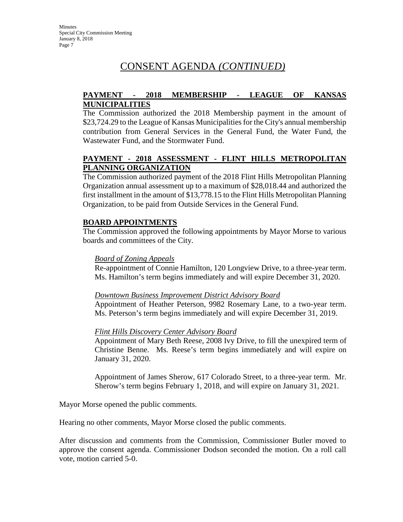# CONSENT AGENDA *(CONTINUED)*

# **PAYMENT - 2018 MEMBERSHIP - LEAGUE OF KANSAS MUNICIPALITIES**

The Commission authorized the 2018 Membership payment in the amount of \$23,724.29 to the League of Kansas Municipalities for the City's annual membership contribution from General Services in the General Fund, the Water Fund, the Wastewater Fund, and the Stormwater Fund.

# **PAYMENT - 2018 ASSESSMENT - FLINT HILLS METROPOLITAN PLANNING ORGANIZATION**

The Commission authorized payment of the 2018 Flint Hills Metropolitan Planning Organization annual assessment up to a maximum of \$28,018.44 and authorized the first installment in the amount of \$13,778.15 to the Flint Hills Metropolitan Planning Organization, to be paid from Outside Services in the General Fund.

# **BOARD APPOINTMENTS**

The Commission approved the following appointments by Mayor Morse to various boards and committees of the City.

## *Board of Zoning Appeals*

Re-appointment of Connie Hamilton, 120 Longview Drive, to a three-year term. Ms. Hamilton's term begins immediately and will expire December 31, 2020.

# *Downtown Business Improvement District Advisory Board*

Appointment of Heather Peterson, 9982 Rosemary Lane, to a two-year term. Ms. Peterson's term begins immediately and will expire December 31, 2019.

# *Flint Hills Discovery Center Advisory Board*

Appointment of Mary Beth Reese, 2008 Ivy Drive, to fill the unexpired term of Christine Benne. Ms. Reese's term begins immediately and will expire on January 31, 2020.

Appointment of James Sherow, 617 Colorado Street, to a three-year term. Mr. Sherow's term begins February 1, 2018, and will expire on January 31, 2021.

Mayor Morse opened the public comments.

Hearing no other comments, Mayor Morse closed the public comments.

After discussion and comments from the Commission, Commissioner Butler moved to approve the consent agenda. Commissioner Dodson seconded the motion. On a roll call vote, motion carried 5-0.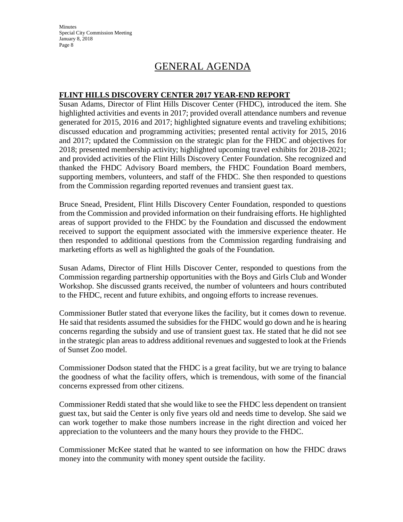**Minutes** Special City Commission Meeting January 8, 2018 Page 8

# GENERAL AGENDA

## **FLINT HILLS DISCOVERY CENTER 2017 YEAR-END REPORT**

Susan Adams, Director of Flint Hills Discover Center (FHDC), introduced the item. She highlighted activities and events in 2017; provided overall attendance numbers and revenue generated for 2015, 2016 and 2017; highlighted signature events and traveling exhibitions; discussed education and programming activities; presented rental activity for 2015, 2016 and 2017; updated the Commission on the strategic plan for the FHDC and objectives for 2018; presented membership activity; highlighted upcoming travel exhibits for 2018-2021; and provided activities of the Flint Hills Discovery Center Foundation. She recognized and thanked the FHDC Advisory Board members, the FHDC Foundation Board members, supporting members, volunteers, and staff of the FHDC. She then responded to questions from the Commission regarding reported revenues and transient guest tax.

Bruce Snead, President, Flint Hills Discovery Center Foundation, responded to questions from the Commission and provided information on their fundraising efforts. He highlighted areas of support provided to the FHDC by the Foundation and discussed the endowment received to support the equipment associated with the immersive experience theater. He then responded to additional questions from the Commission regarding fundraising and marketing efforts as well as highlighted the goals of the Foundation.

Susan Adams, Director of Flint Hills Discover Center, responded to questions from the Commission regarding partnership opportunities with the Boys and Girls Club and Wonder Workshop. She discussed grants received, the number of volunteers and hours contributed to the FHDC, recent and future exhibits, and ongoing efforts to increase revenues.

Commissioner Butler stated that everyone likes the facility, but it comes down to revenue. He said that residents assumed the subsidies for the FHDC would go down and he is hearing concerns regarding the subsidy and use of transient guest tax. He stated that he did not see in the strategic plan areas to address additional revenues and suggested to look at the Friends of Sunset Zoo model.

Commissioner Dodson stated that the FHDC is a great facility, but we are trying to balance the goodness of what the facility offers, which is tremendous, with some of the financial concerns expressed from other citizens.

Commissioner Reddi stated that she would like to see the FHDC less dependent on transient guest tax, but said the Center is only five years old and needs time to develop. She said we can work together to make those numbers increase in the right direction and voiced her appreciation to the volunteers and the many hours they provide to the FHDC.

Commissioner McKee stated that he wanted to see information on how the FHDC draws money into the community with money spent outside the facility.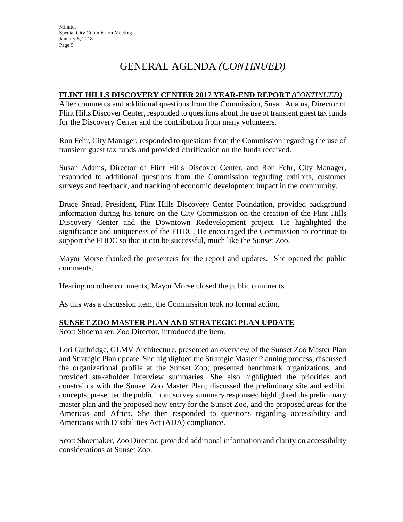# GENERAL AGENDA *(CONTINUED)*

# **FLINT HILLS DISCOVERY CENTER 2017 YEAR-END REPORT** *(CONTINUED)*

After comments and additional questions from the Commission, Susan Adams, Director of Flint Hills Discover Center, responded to questions about the use of transient guest tax funds for the Discovery Center and the contribution from many volunteers.

Ron Fehr, City Manager, responded to questions from the Commission regarding the use of transient guest tax funds and provided clarification on the funds received.

Susan Adams, Director of Flint Hills Discover Center, and Ron Fehr, City Manager, responded to additional questions from the Commission regarding exhibits, customer surveys and feedback, and tracking of economic development impact in the community.

Bruce Snead, President, Flint Hills Discovery Center Foundation, provided background information during his tenure on the City Commission on the creation of the Flint Hills Discovery Center and the Downtown Redevelopment project. He highlighted the significance and uniqueness of the FHDC. He encouraged the Commission to continue to support the FHDC so that it can be successful, much like the Sunset Zoo.

Mayor Morse thanked the presenters for the report and updates. She opened the public comments.

Hearing no other comments, Mayor Morse closed the public comments.

As this was a discussion item, the Commission took no formal action.

# **SUNSET ZOO MASTER PLAN AND STRATEGIC PLAN UPDATE**

Scott Shoemaker, Zoo Director, introduced the item.

Lori Guthridge, GLMV Architecture, presented an overview of the Sunset Zoo Master Plan and Strategic Plan update. She highlighted the Strategic Master Planning process; discussed the organizational profile at the Sunset Zoo; presented benchmark organizations; and provided stakeholder interview summaries. She also highlighted the priorities and constraints with the Sunset Zoo Master Plan; discussed the preliminary site and exhibit concepts; presented the public input survey summary responses; highlighted the preliminary master plan and the proposed new entry for the Sunset Zoo, and the proposed areas for the Americas and Africa. She then responded to questions regarding accessibility and Americans with Disabilities Act (ADA) compliance.

Scott Shoemaker, Zoo Director, provided additional information and clarity on accessibility considerations at Sunset Zoo.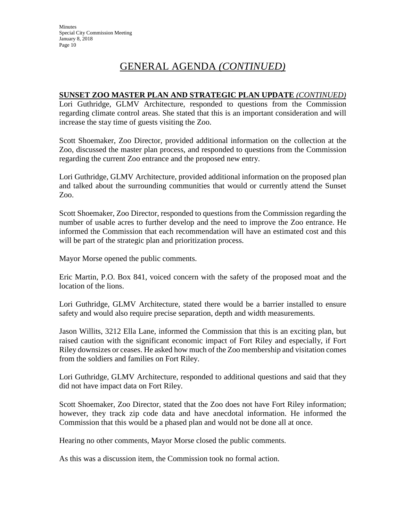# GENERAL AGENDA *(CONTINUED)*

# **SUNSET ZOO MASTER PLAN AND STRATEGIC PLAN UPDATE** *(CONTINUED)*

Lori Guthridge, GLMV Architecture, responded to questions from the Commission regarding climate control areas. She stated that this is an important consideration and will increase the stay time of guests visiting the Zoo.

Scott Shoemaker, Zoo Director, provided additional information on the collection at the Zoo, discussed the master plan process, and responded to questions from the Commission regarding the current Zoo entrance and the proposed new entry.

Lori Guthridge, GLMV Architecture, provided additional information on the proposed plan and talked about the surrounding communities that would or currently attend the Sunset Zoo.

Scott Shoemaker, Zoo Director, responded to questions from the Commission regarding the number of usable acres to further develop and the need to improve the Zoo entrance. He informed the Commission that each recommendation will have an estimated cost and this will be part of the strategic plan and prioritization process.

Mayor Morse opened the public comments.

Eric Martin, P.O. Box 841, voiced concern with the safety of the proposed moat and the location of the lions.

Lori Guthridge, GLMV Architecture, stated there would be a barrier installed to ensure safety and would also require precise separation, depth and width measurements.

Jason Willits, 3212 Ella Lane, informed the Commission that this is an exciting plan, but raised caution with the significant economic impact of Fort Riley and especially, if Fort Riley downsizes or ceases. He asked how much of the Zoo membership and visitation comes from the soldiers and families on Fort Riley.

Lori Guthridge, GLMV Architecture, responded to additional questions and said that they did not have impact data on Fort Riley.

Scott Shoemaker, Zoo Director, stated that the Zoo does not have Fort Riley information; however, they track zip code data and have anecdotal information. He informed the Commission that this would be a phased plan and would not be done all at once.

Hearing no other comments, Mayor Morse closed the public comments.

As this was a discussion item, the Commission took no formal action.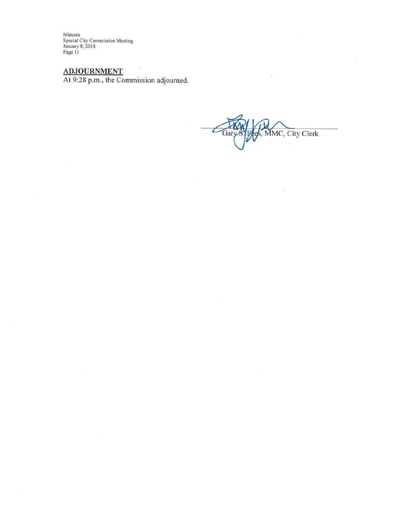Minutes Special City Commission Meeting<br>January 8, 2018<br>Page 11

ADJOURNMENT<br>At 9:28 p.m., the Commission adjourned.

 $\overline{\phantom{a}}$ s, MMC, City Clerk

Y.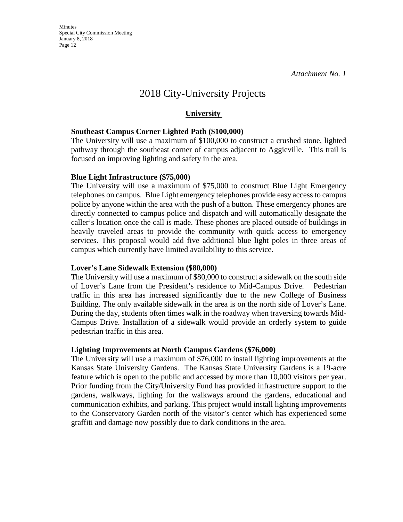*Attachment No. 1* 

# 2018 City-University Projects

# **University**

# **Southeast Campus Corner Lighted Path (\$100,000)**

The University will use a maximum of \$100,000 to construct a crushed stone, lighted pathway through the southeast corner of campus adjacent to Aggieville. This trail is focused on improving lighting and safety in the area.

## **Blue Light Infrastructure (\$75,000)**

The University will use a maximum of \$75,000 to construct Blue Light Emergency telephones on campus. Blue Light emergency telephones provide easy access to campus police by anyone within the area with the push of a button. These emergency phones are directly connected to campus police and dispatch and will automatically designate the caller's location once the call is made. These phones are placed outside of buildings in heavily traveled areas to provide the community with quick access to emergency services. This proposal would add five additional blue light poles in three areas of campus which currently have limited availability to this service.

# **Lover's Lane Sidewalk Extension (\$80,000)**

The University will use a maximum of \$80,000 to construct a sidewalk on the south side of Lover's Lane from the President's residence to Mid-Campus Drive. Pedestrian traffic in this area has increased significantly due to the new College of Business Building. The only available sidewalk in the area is on the north side of Lover's Lane. During the day, students often times walk in the roadway when traversing towards Mid-Campus Drive. Installation of a sidewalk would provide an orderly system to guide pedestrian traffic in this area.

## **Lighting Improvements at North Campus Gardens (\$76,000)**

The University will use a maximum of \$76,000 to install lighting improvements at the Kansas State University Gardens. The Kansas State University Gardens is a 19-acre feature which is open to the public and accessed by more than 10,000 visitors per year. Prior funding from the City/University Fund has provided infrastructure support to the gardens, walkways, lighting for the walkways around the gardens, educational and communication exhibits, and parking. This project would install lighting improvements to the Conservatory Garden north of the visitor's center which has experienced some graffiti and damage now possibly due to dark conditions in the area.